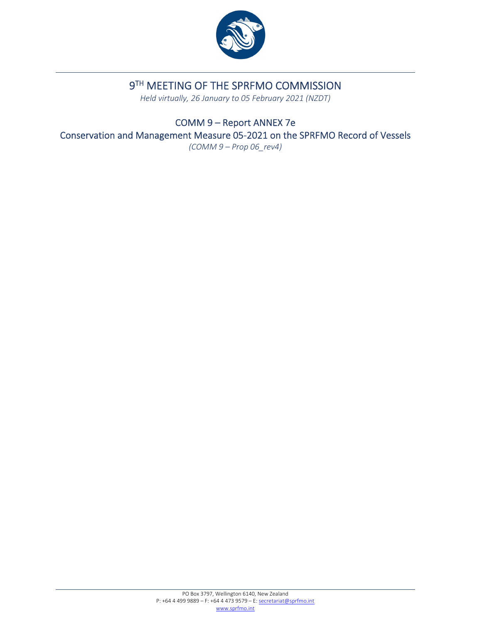

# 9TH MEETING OF THE SPRFMO COMMISSION

*Held virtually, 26 January to 05 February 2021 (NZDT)*

COMM 9 – Report ANNEX 7e Conservation and Management Measure 05‐2021 on the SPRFMO Record of Vessels *(COMM 9 – Prop 06\_rev4)*

> PO Box 3797, Wellington 6140, New Zealand P: +64 4 499 9889 – F: +64 4 473 9579 – E: secretariat@sprfmo.int www.sprfmo.int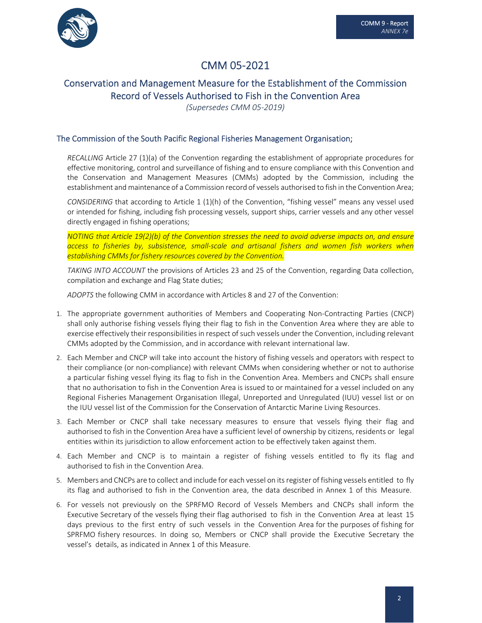

## CMM 05‐2021

### Conservation and Management Measure for the Establishment of the Commission Record of Vessels Authorised to Fish in the Convention Area

*(Supersedes CMM 05‐2019)*

### The Commission of the South Pacific Regional Fisheries Management Organisation;

*RECALLING* Article 27 (1)(a) of the Convention regarding the establishment of appropriate procedures for effective monitoring, control and surveillance of fishing and to ensure compliance with this Convention and the Conservation and Management Measures (CMMs) adopted by the Commission, including the establishment and maintenance of a Commission record of vessels authorised to fish in the Convention Area;

*CONSIDERING* that according to Article 1 (1)(h) of the Convention, "fishing vessel" means any vessel used or intended for fishing, including fish processing vessels, support ships, carrier vessels and any other vessel directly engaged in fishing operations;

*NOTING that Article 19(2)(b) of the Convention stresses the need to avoid adverse impacts on, and ensure access to fisheries by, subsistence, small‐scale and artisanal fishers and women fish workers when establishing CMMs for fishery resources covered by the Convention.*

*TAKING INTO ACCOUNT* the provisions of Articles 23 and 25 of the Convention, regarding Data collection, compilation and exchange and Flag State duties;

*ADOPTS* the following CMM in accordance with Articles 8 and 27 of the Convention:

- 1. The appropriate government authorities of Members and Cooperating Non‐Contracting Parties (CNCP) shall only authorise fishing vessels flying their flag to fish in the Convention Area where they are able to exercise effectively their responsibilities in respect of such vessels under the Convention, including relevant CMMs adopted by the Commission, and in accordance with relevant international law.
- 2. Each Member and CNCP will take into account the history of fishing vessels and operators with respect to their compliance (or non-compliance) with relevant CMMs when considering whether or not to authorise a particular fishing vessel flying its flag to fish in the Convention Area. Members and CNCPs shall ensure that no authorisation to fish in the Convention Area is issued to or maintained for a vessel included on any Regional Fisheries Management Organisation Illegal, Unreported and Unregulated (IUU) vessel list or on the IUU vessel list of the Commission for the Conservation of Antarctic Marine Living Resources.
- 3. Each Member or CNCP shall take necessary measures to ensure that vessels flying their flag and authorised to fish in the Convention Area have a sufficient level of ownership by citizens, residents or legal entities within its jurisdiction to allow enforcement action to be effectively taken against them.
- 4. Each Member and CNCP is to maintain a register of fishing vessels entitled to fly its flag and authorised to fish in the Convention Area.
- 5. Members and CNCPs are to collect and include for each vessel on its register of fishing vessels entitled to fly its flag and authorised to fish in the Convention area, the data described in Annex 1 of this Measure.
- 6. For vessels not previously on the SPRFMO Record of Vessels Members and CNCPs shall inform the Executive Secretary of the vessels flying their flag authorised to fish in the Convention Area at least 15 days previous to the first entry of such vessels in the Convention Area for the purposes of fishing for SPRFMO fishery resources. In doing so, Members or CNCP shall provide the Executive Secretary the vessel's details, as indicated in Annex 1 of this Measure.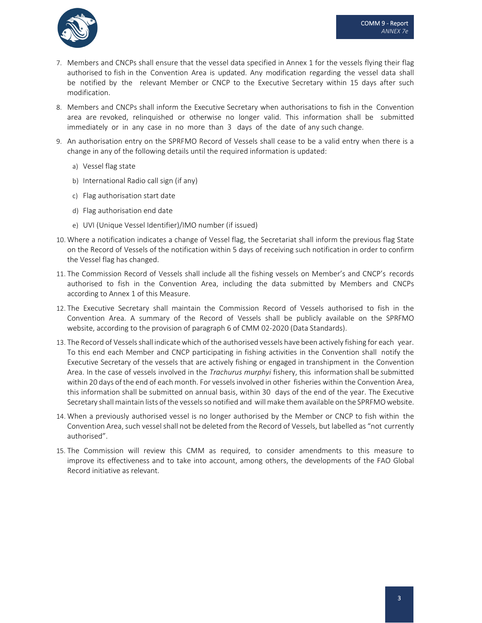

- 7. Members and CNCPs shall ensure that the vessel data specified in Annex 1 for the vessels flying their flag authorised to fish in the Convention Area is updated. Any modification regarding the vessel data shall be notified by the relevant Member or CNCP to the Executive Secretary within 15 days after such modification.
- 8. Members and CNCPs shall inform the Executive Secretary when authorisations to fish in the Convention area are revoked, relinquished or otherwise no longer valid. This information shall be submitted immediately or in any case in no more than 3 days of the date of any such change.
- 9. An authorisation entry on the SPRFMO Record of Vessels shall cease to be a valid entry when there is a change in any of the following details until the required information is updated:
	- a) Vessel flag state
	- b) International Radio call sign (if any)
	- c) Flag authorisation start date
	- d) Flag authorisation end date
	- e) UVI (Unique Vessel Identifier)/IMO number (if issued)
- 10. Where a notification indicates a change of Vessel flag, the Secretariat shall inform the previous flag State on the Record of Vessels of the notification within 5 days of receiving such notification in order to confirm the Vessel flag has changed.
- 11. The Commission Record of Vessels shall include all the fishing vessels on Member's and CNCP's records authorised to fish in the Convention Area, including the data submitted by Members and CNCPs according to Annex 1 of this Measure.
- 12. The Executive Secretary shall maintain the Commission Record of Vessels authorised to fish in the Convention Area. A summary of the Record of Vessels shall be publicly available on the SPRFMO website, according to the provision of paragraph 6 of CMM 02-2020 (Data Standards).
- 13. The Record of Vessels shall indicate which of the authorised vessels have been actively fishing for each year. To this end each Member and CNCP participating in fishing activities in the Convention shall notify the Executive Secretary of the vessels that are actively fishing or engaged in transhipment in the Convention Area. In the case of vessels involved in the *Trachurus murphyi* fishery, this information shall be submitted within 20 days of the end of each month. For vesselsinvolved in other fisheries within the Convention Area, this information shall be submitted on annual basis, within 30 days of the end of the year. The Executive Secretary shall maintain lists of the vesselsso notified and will make them available on the SPRFMOwebsite.
- 14. When a previously authorised vessel is no longer authorised by the Member or CNCP to fish within the Convention Area, such vessel shall not be deleted from the Record of Vessels, but labelled as "not currently authorised".
- 15. The Commission will review this CMM as required, to consider amendments to this measure to improve its effectiveness and to take into account, among others, the developments of the FAO Global Record initiative as relevant.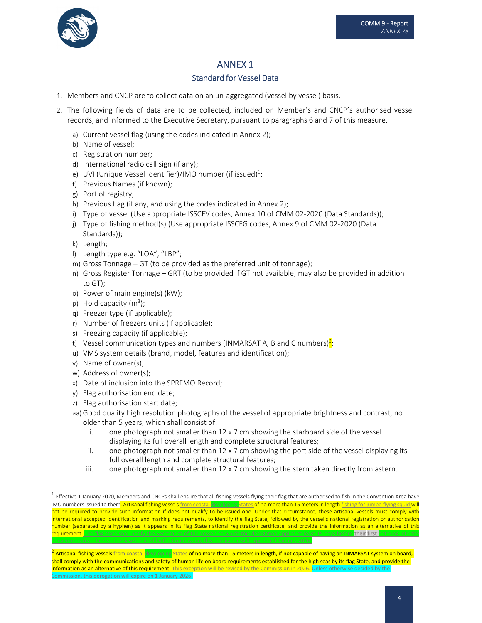



COMM 9 ‐ Report *ANNEX 7e*

### ANNEX 1

### Standard for Vessel Data

- 1. Members and CNCP are to collect data on an un‐aggregated (vessel by vessel) basis.
- 2. The following fields of data are to be collected, included on Member's and CNCP's authorised vessel records, and informed to the Executive Secretary, pursuant to paragraphs 6 and 7 of this measure.
	- a) Current vessel flag (using the codes indicated in Annex 2);
	- b) Name of vessel;
	- c) Registration number;
	- d) International radio call sign (if any);
	- e) UVI (Unique Vessel Identifier)/IMO number (if issued) $^1;$
	- f) Previous Names (if known);
	- g) Port of registry;
	- h) Previous flag (if any, and using the codes indicated in Annex 2);
	- i) Type of vessel (Use appropriate ISSCFV codes, Annex 10 of CMM 02‐2020 (Data Standards));
	- j) Type of fishing method(s) (Use appropriate ISSCFG codes, Annex 9 of CMM 02‐2020 (Data Standards));
	- k) Length;
	- l) Length type e.g. "LOA", "LBP";
	- m) Gross Tonnage GT (to be provided as the preferred unit of tonnage);
	- n) Gross Register Tonnage GRT (to be provided if GT not available; may also be provided in addition to GT);
	- o) Power of main engine(s) (kW);
	- p) Hold capacity  $(m^3)$ ;
	- q) Freezer type (if applicable);
	- r) Number of freezers units (if applicable);
	- s) Freezing capacity (if applicable);
	- t) Vessel communication types and numbers (INMARSAT A, B and C numbers)<sup>2</sup>;
	- u) VMS system details (brand, model, features and identification);
	- v) Name of owner(s);
	- w) Address of owner(s);
	- x) Date of inclusion into the SPRFMO Record;
	- y) Flag authorisation end date;
	- z) Flag authorisation start date;
	- aa) Good quality high resolution photographs of the vessel of appropriate brightness and contrast, no older than 5 years, which shall consist of:
		- i. one photograph not smaller than  $12 \times 7$  cm showing the starboard side of the vessel displaying its full overall length and complete structural features;
		- ii. one photograph not smaller than  $12 \times 7$  cm showing the port side of the vessel displaying its full overall length and complete structural features;
		- iii. one photograph not smaller than  $12 \times 7$  cm showing the stern taken directly from astern.

 $1$  Effective 1 January 2020, Members and CNCPs shall ensure that all fishing vessels flying their flag that are authorised to fish in the Convention Area have IMO numbers issued to them. Artisanal fishing vessels from coastal developing States of no more than 15 meters in length fishing for jumbo flying squid will not be required to provide such information if does not qualify to be issued one. Under that circumstance, these artisanal vessels must comply with international accepted identification and marking requirements, to identify the flag State, followed by the vessel's national registration or authorisation number (separated by a hyphen) as it appears in its flag State national registration certificate, and provide the information as an alternative of this <mark>requirement. T</mark>he flag state shall notify the Secretariat of the vessels to which this derogation applies at least 15 days before **their first <mark>entering into the</mark>** 

<sup>&</sup>lt;sup>2</sup> Artisanal fishing vessels <u>from coastal developing States</u> of no more than 15 meters in length, if not capable of having an INMARSAT system on board, shall comply with the communications and safety of human life on board requirements established for the high seas by its flag State, and provide the information as an alternative of this requirement. This exception will be revised by the Commission in 2026. Unless otherwi Commission, this derogation will expire on 1 January 2026.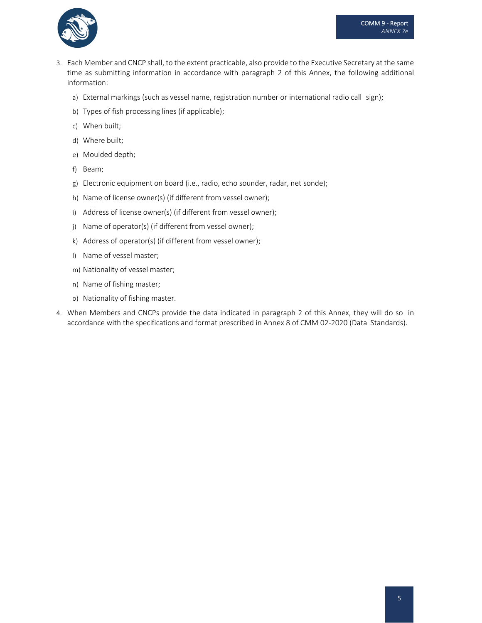

- 3. Each Member and CNCP shall, to the extent practicable, also provide to the Executive Secretary at the same time as submitting information in accordance with paragraph 2 of this Annex, the following additional information:
	- a) External markings (such as vessel name, registration number or international radio call sign);
	- b) Types of fish processing lines (if applicable);
	- c) When built;
	- d) Where built;
	- e) Moulded depth;
	- f) Beam;
	- g) Electronic equipment on board (i.e., radio, echo sounder, radar, net sonde);
	- h) Name of license owner(s) (if different from vessel owner);
	- i) Address of license owner(s) (if different from vessel owner);
	- j) Name of operator(s) (if different from vessel owner);
	- k) Address of operator(s) (if different from vessel owner);
	- l) Name of vessel master;
	- m) Nationality of vessel master;
	- n) Name of fishing master;
	- o) Nationality of fishing master.
- 4. When Members and CNCPs provide the data indicated in paragraph 2 of this Annex, they will do so in accordance with the specifications and format prescribed in Annex 8 of CMM 02‐2020 (Data Standards).